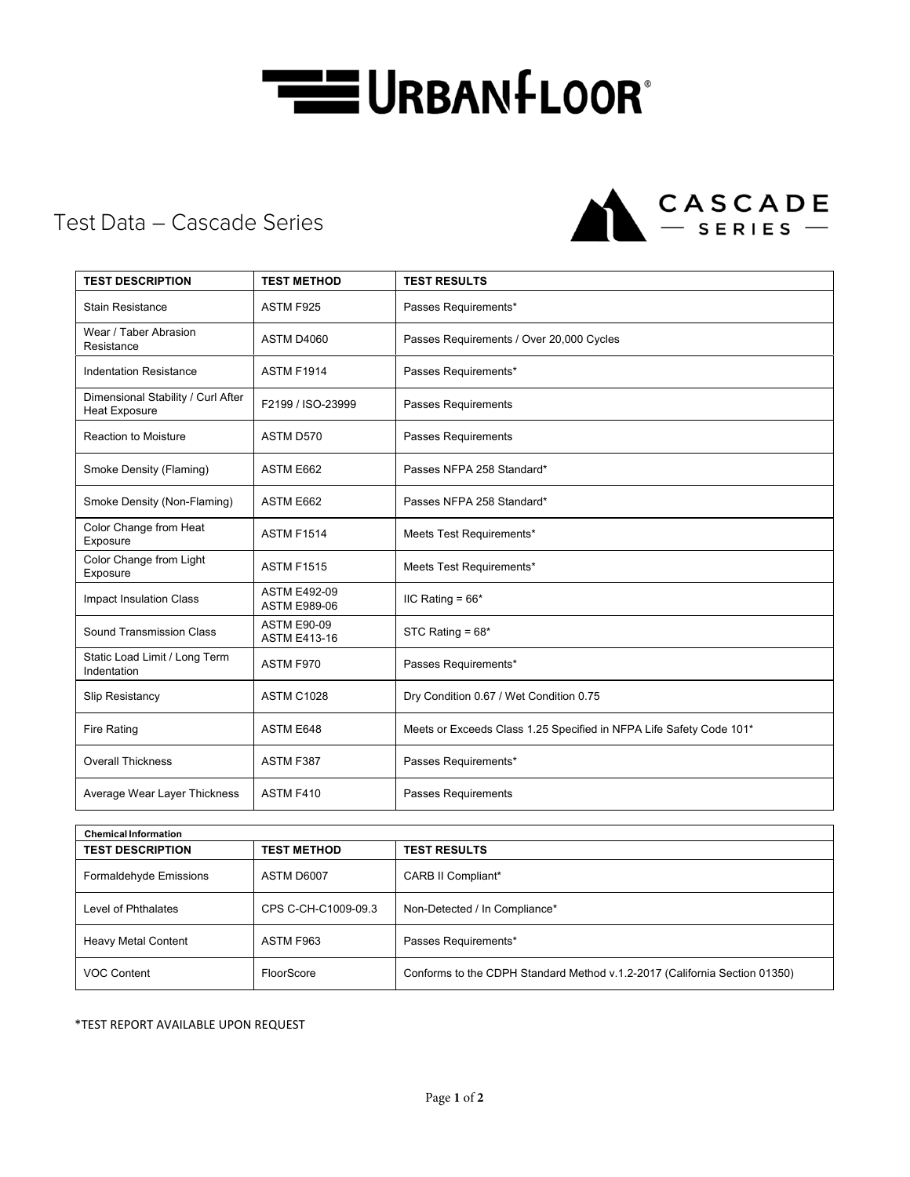## **THE URBAN FLOOR**

CASCADE

## Test Data – Cascade Series

| <b>TEST DESCRIPTION</b>                                    | <b>TEST METHOD</b>                         | <b>TEST RESULTS</b>                                                 |  |
|------------------------------------------------------------|--------------------------------------------|---------------------------------------------------------------------|--|
| <b>Stain Resistance</b>                                    | ASTM F925                                  | Passes Requirements*                                                |  |
| Wear / Taber Abrasion<br>Resistance                        | ASTM D4060                                 | Passes Requirements / Over 20,000 Cycles                            |  |
| <b>Indentation Resistance</b>                              | <b>ASTM F1914</b>                          | Passes Requirements*                                                |  |
| Dimensional Stability / Curl After<br><b>Heat Exposure</b> | F2199 / ISO-23999                          | Passes Requirements                                                 |  |
| <b>Reaction to Moisture</b>                                | ASTM D570                                  | Passes Requirements                                                 |  |
| Smoke Density (Flaming)                                    | ASTM E662                                  | Passes NFPA 258 Standard*                                           |  |
| Smoke Density (Non-Flaming)                                | ASTM E662                                  | Passes NFPA 258 Standard*                                           |  |
| Color Change from Heat<br>Exposure                         | <b>ASTM F1514</b>                          | Meets Test Requirements*                                            |  |
| Color Change from Light<br>Exposure                        | <b>ASTM F1515</b>                          | Meets Test Requirements*                                            |  |
| <b>Impact Insulation Class</b>                             | <b>ASTM E492-09</b><br><b>ASTM E989-06</b> | IIC Rating = $66*$                                                  |  |
| Sound Transmission Class                                   | <b>ASTM E90-09</b><br><b>ASTM E413-16</b>  | STC Rating = $68*$                                                  |  |
| Static Load Limit / Long Term<br>Indentation               | ASTM F970                                  | Passes Requirements*                                                |  |
| Slip Resistancy                                            | <b>ASTM C1028</b>                          | Dry Condition 0.67 / Wet Condition 0.75                             |  |
| <b>Fire Rating</b>                                         | ASTM E648                                  | Meets or Exceeds Class 1.25 Specified in NFPA Life Safety Code 101* |  |
| <b>Overall Thickness</b>                                   | ASTM F387                                  | Passes Requirements*                                                |  |
| Average Wear Layer Thickness                               | ASTM F410                                  | <b>Passes Requirements</b>                                          |  |

| <b>Chemical Information</b> |                     |                                                                            |  |  |
|-----------------------------|---------------------|----------------------------------------------------------------------------|--|--|
| <b>TEST DESCRIPTION</b>     | <b>TEST METHOD</b>  | <b>TEST RESULTS</b>                                                        |  |  |
| Formaldehyde Emissions      | ASTM D6007          | <b>CARB II Compliant*</b>                                                  |  |  |
| Level of Phthalates         | CPS C-CH-C1009-09.3 | Non-Detected / In Compliance*                                              |  |  |
| <b>Heavy Metal Content</b>  | ASTM F963           | Passes Requirements*                                                       |  |  |
| <b>VOC Content</b>          | FloorScore          | Conforms to the CDPH Standard Method v.1.2-2017 (California Section 01350) |  |  |

\*TEST REPORT AVAILABLE UPON REQUEST